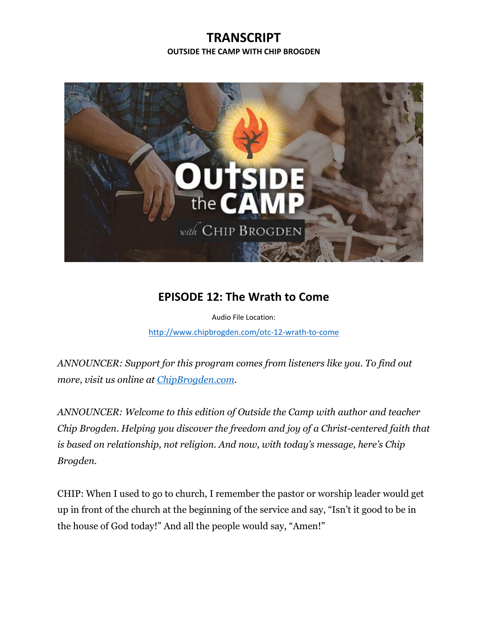## **TRANSCRIPT OUTSIDE THE CAMP WITH CHIP BROGDEN**



## **EPISODE 12: The Wrath to Come**

Audio File Location: <http://www.chipbrogden.com/otc-12-wrath-to-come>

*ANNOUNCER: Support for this program comes from listeners like you. To find out more, visit us online at [ChipBrogden.com.](http://www.chipbrogden.com/)*

*ANNOUNCER: Welcome to this edition of Outside the Camp with author and teacher Chip Brogden. Helping you discover the freedom and joy of a Christ-centered faith that is based on relationship, not religion. And now, with today's message, here's Chip Brogden.*

CHIP: When I used to go to church, I remember the pastor or worship leader would get up in front of the church at the beginning of the service and say, "Isn't it good to be in the house of God today!" And all the people would say, "Amen!"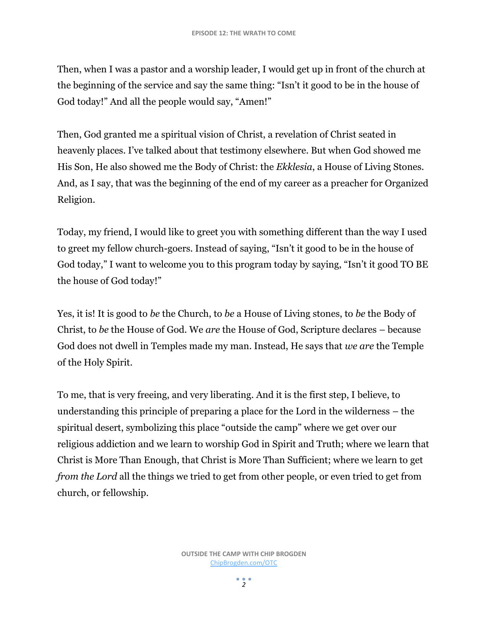Then, when I was a pastor and a worship leader, I would get up in front of the church at the beginning of the service and say the same thing: "Isn't it good to be in the house of God today!" And all the people would say, "Amen!"

Then, God granted me a spiritual vision of Christ, a revelation of Christ seated in heavenly places. I've talked about that testimony elsewhere. But when God showed me His Son, He also showed me the Body of Christ: the *Ekklesia*, a House of Living Stones. And, as I say, that was the beginning of the end of my career as a preacher for Organized Religion.

Today, my friend, I would like to greet you with something different than the way I used to greet my fellow church-goers. Instead of saying, "Isn't it good to be in the house of God today," I want to welcome you to this program today by saying, "Isn't it good TO BE the house of God today!"

Yes, it is! It is good to *be* the Church, to *be* a House of Living stones, to *be* the Body of Christ, to *be* the House of God. We *are* the House of God, Scripture declares – because God does not dwell in Temples made my man. Instead, He says that *we are* the Temple of the Holy Spirit.

To me, that is very freeing, and very liberating. And it is the first step, I believe, to understanding this principle of preparing a place for the Lord in the wilderness – the spiritual desert, symbolizing this place "outside the camp" where we get over our religious addiction and we learn to worship God in Spirit and Truth; where we learn that Christ is More Than Enough, that Christ is More Than Sufficient; where we learn to get *from the Lord* all the things we tried to get from other people, or even tried to get from church, or fellowship.

> **OUTSIDE THE CAMP WITH CHIP BROGDEN** [ChipBrogden.com/OTC](http://chipbrogden.com/OTC)

> > $2<sup>2</sup>$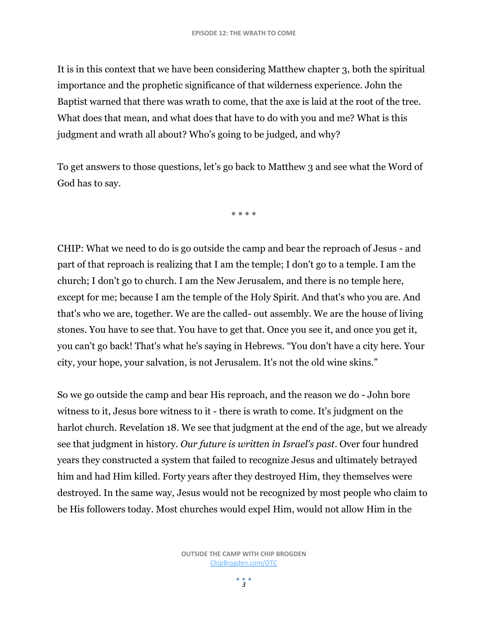It is in this context that we have been considering Matthew chapter 3, both the spiritual importance and the prophetic significance of that wilderness experience. John the Baptist warned that there was wrath to come, that the axe is laid at the root of the tree. What does that mean, and what does that have to do with you and me? What is this judgment and wrath all about? Who's going to be judged, and why?

To get answers to those questions, let's go back to Matthew 3 and see what the Word of God has to say.

\* \* \* \*

CHIP: What we need to do is go outside the camp and bear the reproach of Jesus - and part of that reproach is realizing that I am the temple; I don't go to a temple. I am the church; I don't go to church. I am the New Jerusalem, and there is no temple here, except for me; because I am the temple of the Holy Spirit. And that's who you are. And that's who we are, together. We are the called- out assembly. We are the house of living stones. You have to see that. You have to get that. Once you see it, and once you get it, you can't go back! That's what he's saying in Hebrews. "You don't have a city here. Your city, your hope, your salvation, is not Jerusalem. It's not the old wine skins."

So we go outside the camp and bear His reproach, and the reason we do - John bore witness to it, Jesus bore witness to it - there is wrath to come. It's judgment on the harlot church. Revelation 18. We see that judgment at the end of the age, but we already see that judgment in history. *Our future is written in Israel's past*. Over four hundred years they constructed a system that failed to recognize Jesus and ultimately betrayed him and had Him killed. Forty years after they destroyed Him, they themselves were destroyed. In the same way, Jesus would not be recognized by most people who claim to be His followers today. Most churches would expel Him, would not allow Him in the

> **OUTSIDE THE CAMP WITH CHIP BROGDEN** [ChipBrogden.com/OTC](http://chipbrogden.com/OTC)

> > $\frac{1}{2}$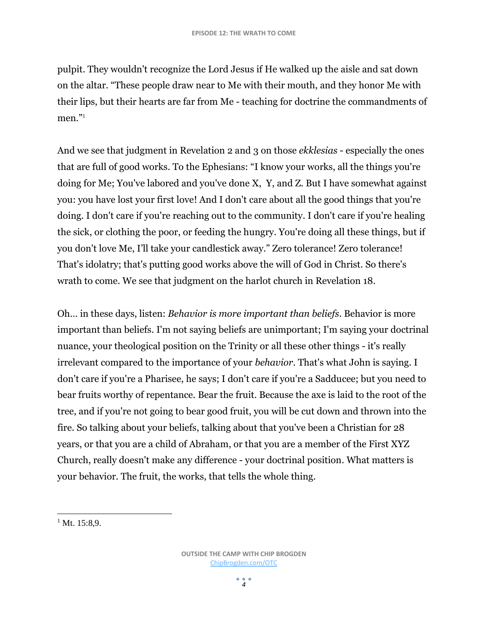pulpit. They wouldn't recognize the Lord Jesus if He walked up the aisle and sat down on the altar. "These people draw near to Me with their mouth, and they honor Me with their lips, but their hearts are far from Me - teaching for doctrine the commandments of men." 1

And we see that judgment in Revelation 2 and 3 on those *ekklesias* - especially the ones that are full of good works. To the Ephesians: "I know your works, all the things you're doing for Me; You've labored and you've done X, Y, and Z. But I have somewhat against you: you have lost your first love! And I don't care about all the good things that you're doing. I don't care if you're reaching out to the community. I don't care if you're healing the sick, or clothing the poor, or feeding the hungry. You're doing all these things, but if you don't love Me, I'll take your candlestick away." Zero tolerance! Zero tolerance! That's idolatry; that's putting good works above the will of God in Christ. So there's wrath to come. We see that judgment on the harlot church in Revelation 18.

Oh… in these days, listen: *Behavior is more important than beliefs*. Behavior is more important than beliefs. I'm not saying beliefs are unimportant; I'm saying your doctrinal nuance, your theological position on the Trinity or all these other things - it's really irrelevant compared to the importance of your *behavior*. That's what John is saying. I don't care if you're a Pharisee, he says; I don't care if you're a Sadducee; but you need to bear fruits worthy of repentance. Bear the fruit. Because the axe is laid to the root of the tree, and if you're not going to bear good fruit, you will be cut down and thrown into the fire. So talking about your beliefs, talking about that you've been a Christian for 28 years, or that you are a child of Abraham, or that you are a member of the First XYZ Church, really doesn't make any difference - your doctrinal position. What matters is your behavior. The fruit, the works, that tells the whole thing.

l  $1$  Mt. 15:8.9.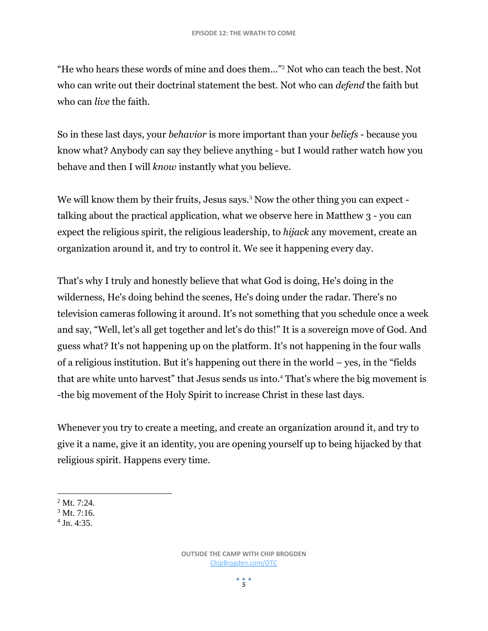"He who hears these words of mine and does them…"<sup>2</sup> Not who can teach the best. Not who can write out their doctrinal statement the best. Not who can *defend* the faith but who can *live* the faith.

So in these last days, your *behavior* is more important than your *beliefs* - because you know what? Anybody can say they believe anything - but I would rather watch how you behave and then I will *know* instantly what you believe.

We will know them by their fruits, Jesus says.<sup>3</sup> Now the other thing you can expect talking about the practical application, what we observe here in Matthew 3 - you can expect the religious spirit, the religious leadership, to *hijack* any movement, create an organization around it, and try to control it. We see it happening every day.

That's why I truly and honestly believe that what God is doing, He's doing in the wilderness, He's doing behind the scenes, He's doing under the radar. There's no television cameras following it around. It's not something that you schedule once a week and say, "Well, let's all get together and let's do this!" It is a sovereign move of God. And guess what? It's not happening up on the platform. It's not happening in the four walls of a religious institution. But it's happening out there in the world – yes, in the "fields that are white unto harvest" that Jesus sends us into.<sup>4</sup> That's where the big movement is -the big movement of the Holy Spirit to increase Christ in these last days.

Whenever you try to create a meeting, and create an organization around it, and try to give it a name, give it an identity, you are opening yourself up to being hijacked by that religious spirit. Happens every time.

 $\overline{a}$  $2^2$  Mt. 7:24.

4 Jn. 4:35.

 $3$  Mt. 7:16.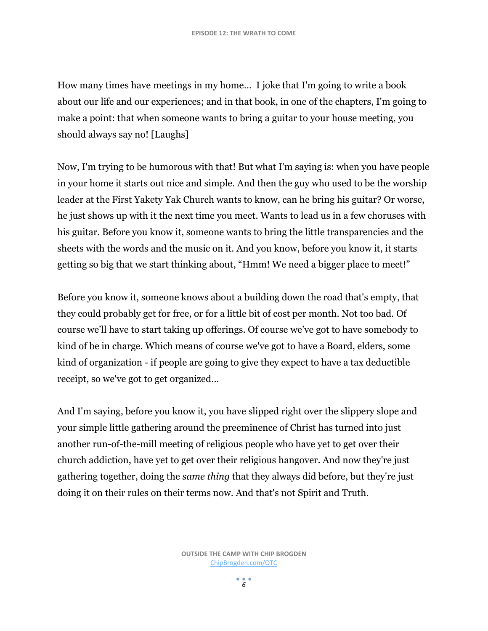How many times have meetings in my home… I joke that I'm going to write a book about our life and our experiences; and in that book, in one of the chapters, I'm going to make a point: that when someone wants to bring a guitar to your house meeting, you should always say no! [Laughs]

Now, I'm trying to be humorous with that! But what I'm saying is: when you have people in your home it starts out nice and simple. And then the guy who used to be the worship leader at the First Yakety Yak Church wants to know, can he bring his guitar? Or worse, he just shows up with it the next time you meet. Wants to lead us in a few choruses with his guitar. Before you know it, someone wants to bring the little transparencies and the sheets with the words and the music on it. And you know, before you know it, it starts getting so big that we start thinking about, "Hmm! We need a bigger place to meet!"

Before you know it, someone knows about a building down the road that's empty, that they could probably get for free, or for a little bit of cost per month. Not too bad. Of course we'll have to start taking up offerings. Of course we've got to have somebody to kind of be in charge. Which means of course we've got to have a Board, elders, some kind of organization - if people are going to give they expect to have a tax deductible receipt, so we've got to get organized...

And I'm saying, before you know it, you have slipped right over the slippery slope and your simple little gathering around the preeminence of Christ has turned into just another run-of-the-mill meeting of religious people who have yet to get over their church addiction, have yet to get over their religious hangover. And now they're just gathering together, doing the *same thing* that they always did before, but they're just doing it on their rules on their terms now. And that's not Spirit and Truth.

 $\frac{•}{6}$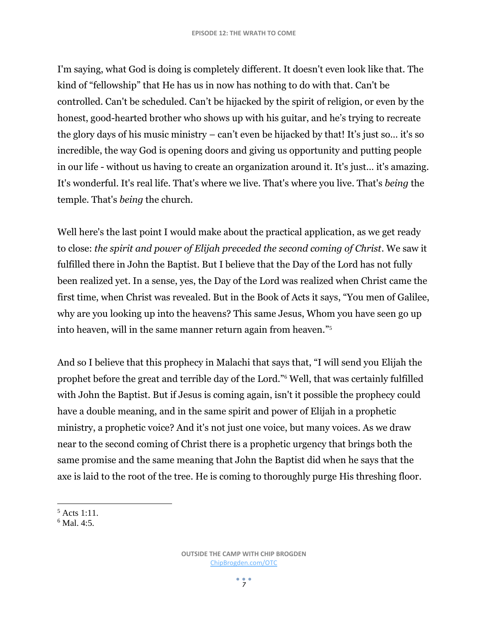I'm saying, what God is doing is completely different. It doesn't even look like that. The kind of "fellowship" that He has us in now has nothing to do with that. Can't be controlled. Can't be scheduled. Can't be hijacked by the spirit of religion, or even by the honest, good-hearted brother who shows up with his guitar, and he's trying to recreate the glory days of his music ministry – can't even be hijacked by that! It's just so… it's so incredible, the way God is opening doors and giving us opportunity and putting people in our life - without us having to create an organization around it. It's just… it's amazing. It's wonderful. It's real life. That's where we live. That's where you live. That's *being* the temple. That's *being* the church.

Well here's the last point I would make about the practical application, as we get ready to close: *the spirit and power of Elijah preceded the second coming of Christ*. We saw it fulfilled there in John the Baptist. But I believe that the Day of the Lord has not fully been realized yet. In a sense, yes, the Day of the Lord was realized when Christ came the first time, when Christ was revealed. But in the Book of Acts it says, "You men of Galilee, why are you looking up into the heavens? This same Jesus, Whom you have seen go up into heaven, will in the same manner return again from heaven." 5

And so I believe that this prophecy in Malachi that says that, "I will send you Elijah the prophet before the great and terrible day of the Lord."<sup>6</sup> Well, that was certainly fulfilled with John the Baptist. But if Jesus is coming again, isn't it possible the prophecy could have a double meaning, and in the same spirit and power of Elijah in a prophetic ministry, a prophetic voice? And it's not just one voice, but many voices. As we draw near to the second coming of Christ there is a prophetic urgency that brings both the same promise and the same meaning that John the Baptist did when he says that the axe is laid to the root of the tree. He is coming to thoroughly purge His threshing floor.

 $\overline{\phantom{a}}$  $5$  Acts 1:11.

 $6$  Mal. 4:5.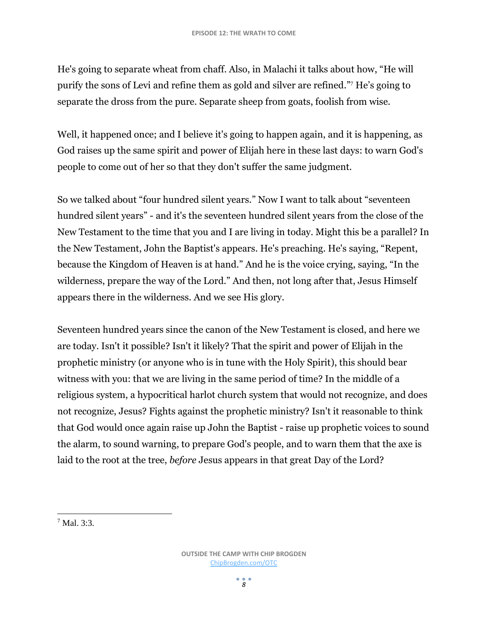He's going to separate wheat from chaff. Also, in Malachi it talks about how, "He will purify the sons of Levi and refine them as gold and silver are refined."<sup>7</sup> He's going to separate the dross from the pure. Separate sheep from goats, foolish from wise.

Well, it happened once; and I believe it's going to happen again, and it is happening, as God raises up the same spirit and power of Elijah here in these last days: to warn God's people to come out of her so that they don't suffer the same judgment.

So we talked about "four hundred silent years." Now I want to talk about "seventeen hundred silent years" - and it's the seventeen hundred silent years from the close of the New Testament to the time that you and I are living in today. Might this be a parallel? In the New Testament, John the Baptist's appears. He's preaching. He's saying, "Repent, because the Kingdom of Heaven is at hand." And he is the voice crying, saying, "In the wilderness, prepare the way of the Lord." And then, not long after that, Jesus Himself appears there in the wilderness. And we see His glory.

Seventeen hundred years since the canon of the New Testament is closed, and here we are today. Isn't it possible? Isn't it likely? That the spirit and power of Elijah in the prophetic ministry (or anyone who is in tune with the Holy Spirit), this should bear witness with you: that we are living in the same period of time? In the middle of a religious system, a hypocritical harlot church system that would not recognize, and does not recognize, Jesus? Fights against the prophetic ministry? Isn't it reasonable to think that God would once again raise up John the Baptist - raise up prophetic voices to sound the alarm, to sound warning, to prepare God's people, and to warn them that the axe is laid to the root at the tree, *before* Jesus appears in that great Day of the Lord?

l  $7$  Mal. 3:3.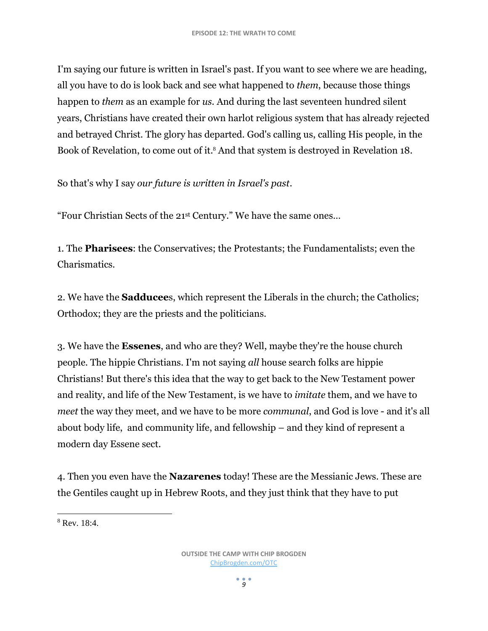I'm saying our future is written in Israel's past. If you want to see where we are heading, all you have to do is look back and see what happened to *them*, because those things happen to *them* as an example for *us.* And during the last seventeen hundred silent years, Christians have created their own harlot religious system that has already rejected and betrayed Christ. The glory has departed. God's calling us, calling His people, in the Book of Revelation, to come out of it.<sup>8</sup> And that system is destroyed in Revelation 18.

So that's why I say *our future is written in Israel's past*.

"Four Christian Sects of the 21st Century." We have the same ones…

1. The **Pharisees**: the Conservatives; the Protestants; the Fundamentalists; even the Charismatics.

2. We have the **Sadducee**s, which represent the Liberals in the church; the Catholics; Orthodox; they are the priests and the politicians.

3. We have the **Essenes**, and who are they? Well, maybe they're the house church people. The hippie Christians. I'm not saying *all* house search folks are hippie Christians! But there's this idea that the way to get back to the New Testament power and reality, and life of the New Testament, is we have to *imitate* them, and we have to *meet* the way they meet, and we have to be more *communal*, and God is love - and it's all about body life, and community life, and fellowship – and they kind of represent a modern day Essene sect.

4. Then you even have the **Nazarenes** today! These are the Messianic Jews. These are the Gentiles caught up in Hebrew Roots, and they just think that they have to put

l <sup>8</sup> Rev. 18:4.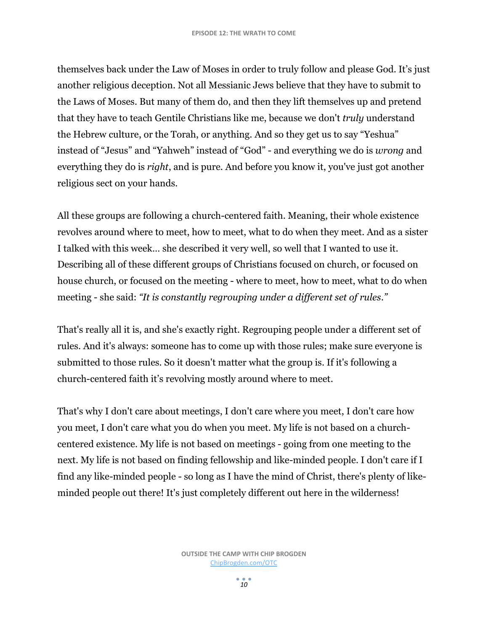themselves back under the Law of Moses in order to truly follow and please God. It's just another religious deception. Not all Messianic Jews believe that they have to submit to the Laws of Moses. But many of them do, and then they lift themselves up and pretend that they have to teach Gentile Christians like me, because we don't *truly* understand the Hebrew culture, or the Torah, or anything. And so they get us to say "Yeshua" instead of "Jesus" and "Yahweh" instead of "God" - and everything we do is *wrong* and everything they do is *right*, and is pure. And before you know it, you've just got another religious sect on your hands.

All these groups are following a church-centered faith. Meaning, their whole existence revolves around where to meet, how to meet, what to do when they meet. And as a sister I talked with this week… she described it very well, so well that I wanted to use it. Describing all of these different groups of Christians focused on church, or focused on house church, or focused on the meeting - where to meet, how to meet, what to do when meeting - she said: *"It is constantly regrouping under a different set of rules."*

That's really all it is, and she's exactly right. Regrouping people under a different set of rules. And it's always: someone has to come up with those rules; make sure everyone is submitted to those rules. So it doesn't matter what the group is. If it's following a church-centered faith it's revolving mostly around where to meet.

That's why I don't care about meetings, I don't care where you meet, I don't care how you meet, I don't care what you do when you meet. My life is not based on a churchcentered existence. My life is not based on meetings - going from one meeting to the next. My life is not based on finding fellowship and like-minded people. I don't care if I find any like-minded people - so long as I have the mind of Christ, there's plenty of likeminded people out there! It's just completely different out here in the wilderness!

*10*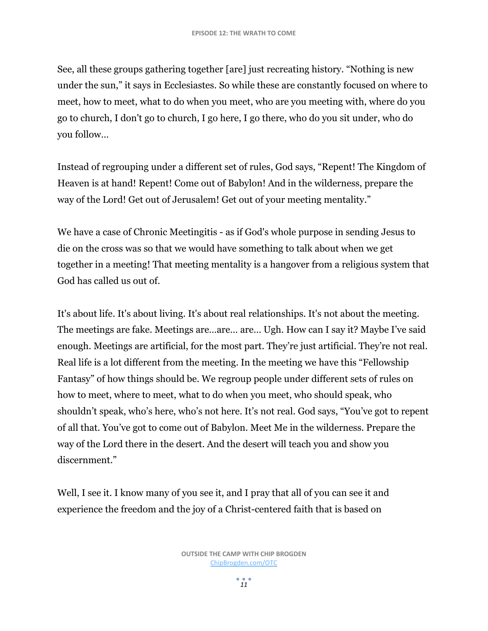See, all these groups gathering together [are] just recreating history. "Nothing is new under the sun," it says in Ecclesiastes. So while these are constantly focused on where to meet, how to meet, what to do when you meet, who are you meeting with, where do you go to church, I don't go to church, I go here, I go there, who do you sit under, who do you follow…

Instead of regrouping under a different set of rules, God says, "Repent! The Kingdom of Heaven is at hand! Repent! Come out of Babylon! And in the wilderness, prepare the way of the Lord! Get out of Jerusalem! Get out of your meeting mentality."

We have a case of Chronic Meetingitis - as if God's whole purpose in sending Jesus to die on the cross was so that we would have something to talk about when we get together in a meeting! That meeting mentality is a hangover from a religious system that God has called us out of.

It's about life. It's about living. It's about real relationships. It's not about the meeting. The meetings are fake. Meetings are…are… are… Ugh. How can I say it? Maybe I've said enough. Meetings are artificial, for the most part. They're just artificial. They're not real. Real life is a lot different from the meeting. In the meeting we have this "Fellowship Fantasy" of how things should be. We regroup people under different sets of rules on how to meet, where to meet, what to do when you meet, who should speak, who shouldn't speak, who's here, who's not here. It's not real. God says, "You've got to repent of all that. You've got to come out of Babylon. Meet Me in the wilderness. Prepare the way of the Lord there in the desert. And the desert will teach you and show you discernment."

Well, I see it. I know many of you see it, and I pray that all of you can see it and experience the freedom and the joy of a Christ-centered faith that is based on

*11*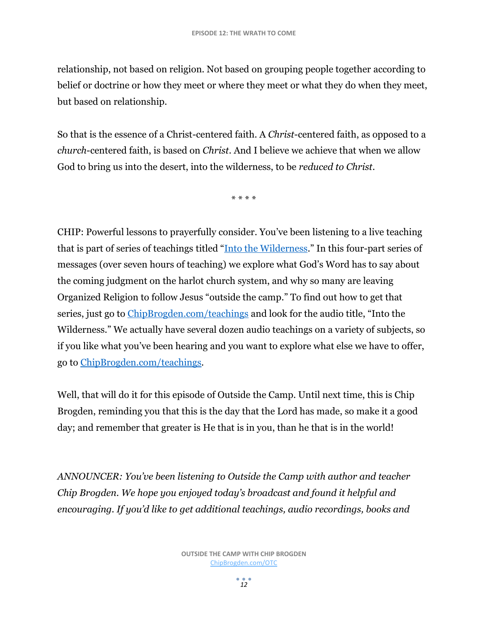relationship, not based on religion. Not based on grouping people together according to belief or doctrine or how they meet or where they meet or what they do when they meet, but based on relationship.

So that is the essence of a Christ-centered faith. A *Christ*-centered faith, as opposed to a *church*-centered faith, is based on *Christ*. And I believe we achieve that when we allow God to bring us into the desert, into the wilderness, to be *reduced to Christ*.

\* \* \* \*

CHIP: Powerful lessons to prayerfully consider. You've been listening to a live teaching that is part of series of teachings titled "[Into the Wilderness](http://www.chipbrogden.com/product/wilderness/)." In this four-part series of messages (over seven hours of teaching) we explore what God's Word has to say about the coming judgment on the harlot church system, and why so many are leaving Organized Religion to follow Jesus "outside the camp." To find out how to get that series, just go to [ChipBrogden.com/teachings](http://chipbrogden.com/teachings) and look for the audio title, "Into the Wilderness." We actually have several dozen audio teachings on a variety of subjects, so if you like what you've been hearing and you want to explore what else we have to offer, go to [ChipBrogden.com/teachings.](http://chipbrogden.com/teachings)

Well, that will do it for this episode of Outside the Camp. Until next time, this is Chip Brogden, reminding you that this is the day that the Lord has made, so make it a good day; and remember that greater is He that is in you, than he that is in the world!

*ANNOUNCER: You've been listening to Outside the Camp with author and teacher Chip Brogden. We hope you enjoyed today's broadcast and found it helpful and encouraging. If you'd like to get additional teachings, audio recordings, books and*